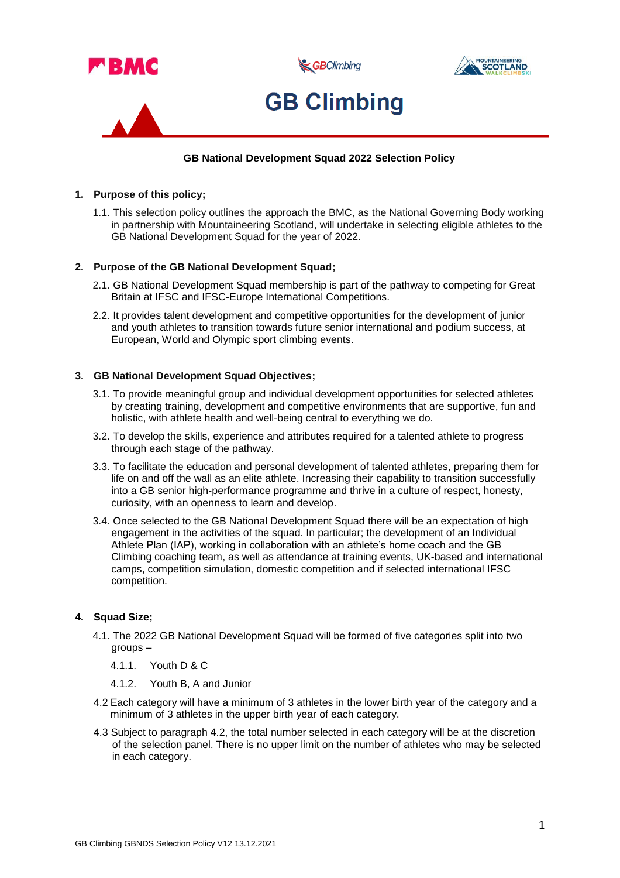

# **GB National Development Squad 2022 Selection Policy**

# **1. Purpose of this policy;**

1.1. This selection policy outlines the approach the BMC, as the National Governing Body working in partnership with Mountaineering Scotland, will undertake in selecting eligible athletes to the GB National Development Squad for the year of 2022.

# **2. Purpose of the GB National Development Squad;**

- 2.1. GB National Development Squad membership is part of the pathway to competing for Great Britain at IFSC and IFSC-Europe International Competitions.
- 2.2. It provides talent development and competitive opportunities for the development of junior and youth athletes to transition towards future senior international and podium success, at European, World and Olympic sport climbing events.

# **3. GB National Development Squad Objectives;**

- 3.1. To provide meaningful group and individual development opportunities for selected athletes by creating training, development and competitive environments that are supportive, fun and holistic, with athlete health and well-being central to everything we do.
- 3.2. To develop the skills, experience and attributes required for a talented athlete to progress through each stage of the pathway.
- 3.3. To facilitate the education and personal development of talented athletes, preparing them for life on and off the wall as an elite athlete. Increasing their capability to transition successfully into a GB senior high-performance programme and thrive in a culture of respect, honesty, curiosity, with an openness to learn and develop.
- 3.4. Once selected to the GB National Development Squad there will be an expectation of high engagement in the activities of the squad. In particular; the development of an Individual Athlete Plan (IAP), working in collaboration with an athlete's home coach and the GB Climbing coaching team, as well as attendance at training events, UK-based and international camps, competition simulation, domestic competition and if selected international IFSC competition.

# **4. Squad Size;**

- 4.1. The 2022 GB National Development Squad will be formed of five categories split into two groups –
	- 4.1.1. Youth D & C
	- 4.1.2. Youth B, A and Junior
- 4.2 Each category will have a minimum of 3 athletes in the lower birth year of the category and a minimum of 3 athletes in the upper birth year of each category.
- 4.3 Subject to paragraph 4.2, the total number selected in each category will be at the discretion of the selection panel. There is no upper limit on the number of athletes who may be selected in each category.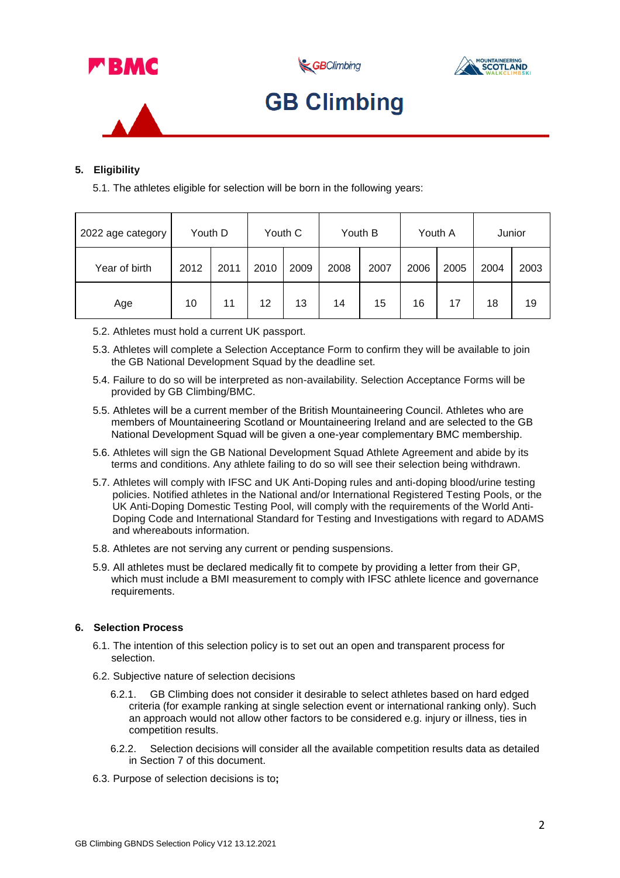

GBClimbing





# **GB Climbing**

# **5. Eligibility**

5.1. The athletes eligible for selection will be born in the following years:

| 2022 age category | Youth D |      | Youth C |      | Youth B |      | Youth A |      | Junior |      |
|-------------------|---------|------|---------|------|---------|------|---------|------|--------|------|
| Year of birth     | 2012    | 2011 | 2010    | 2009 | 2008    | 2007 | 2006    | 2005 | 2004   | 2003 |
| Age               | 10      | 11   | 12      | 13   | 14      | 15   | 16      | 17   | 18     | 19   |

- 5.2. Athletes must hold a current UK passport.
- 5.3. Athletes will complete a Selection Acceptance Form to confirm they will be available to join the GB National Development Squad by the deadline set.
- 5.4. Failure to do so will be interpreted as non-availability. Selection Acceptance Forms will be provided by GB Climbing/BMC.
- 5.5. Athletes will be a current member of the British Mountaineering Council. Athletes who are members of Mountaineering Scotland or Mountaineering Ireland and are selected to the GB National Development Squad will be given a one-year complementary BMC membership.
- 5.6. Athletes will sign the GB National Development Squad Athlete Agreement and abide by its terms and conditions. Any athlete failing to do so will see their selection being withdrawn.
- 5.7. Athletes will comply with IFSC and UK Anti-Doping rules and anti-doping blood/urine testing policies. Notified athletes in the National and/or International Registered Testing Pools, or the UK Anti-Doping Domestic Testing Pool, will comply with the requirements of the World Anti-Doping Code and International Standard for Testing and Investigations with regard to ADAMS and whereabouts information.
- 5.8. Athletes are not serving any current or pending suspensions.
- 5.9. All athletes must be declared medically fit to compete by providing a letter from their GP, which must include a BMI measurement to comply with IFSC athlete licence and governance requirements.

# **6. Selection Process**

- 6.1. The intention of this selection policy is to set out an open and transparent process for selection.
- 6.2. Subjective nature of selection decisions
	- 6.2.1. GB Climbing does not consider it desirable to select athletes based on hard edged criteria (for example ranking at single selection event or international ranking only). Such an approach would not allow other factors to be considered e.g. injury or illness, ties in competition results.
	- 6.2.2. Selection decisions will consider all the available competition results data as detailed in Section 7 of this document.
- 6.3. Purpose of selection decisions is to**;**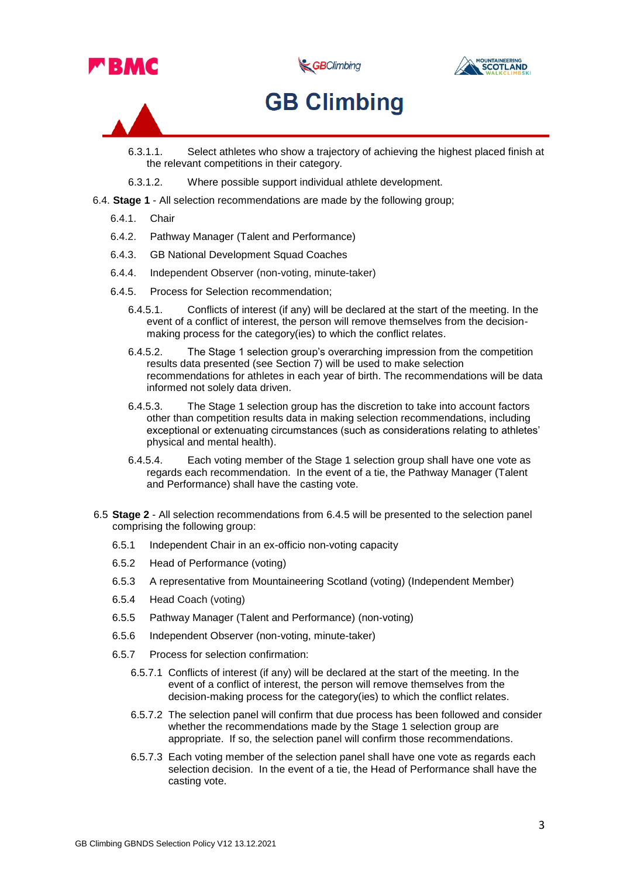

GBClimbing



# **GB Climbing**

- 6.3.1.1. Select athletes who show a trajectory of achieving the highest placed finish at the relevant competitions in their category.
- 6.3.1.2. Where possible support individual athlete development.
- 6.4. **Stage 1** All selection recommendations are made by the following group;
	- 6.4.1. Chair
	- 6.4.2. Pathway Manager (Talent and Performance)
	- 6.4.3. GB National Development Squad Coaches
	- 6.4.4. Independent Observer (non-voting, minute-taker)
	- 6.4.5. Process for Selection recommendation;
		- 6.4.5.1. Conflicts of interest (if any) will be declared at the start of the meeting. In the event of a conflict of interest, the person will remove themselves from the decisionmaking process for the category(ies) to which the conflict relates.
		- 6.4.5.2. The Stage 1 selection group's overarching impression from the competition results data presented (see Section 7) will be used to make selection recommendations for athletes in each year of birth. The recommendations will be data informed not solely data driven.
		- 6.4.5.3. The Stage 1 selection group has the discretion to take into account factors other than competition results data in making selection recommendations, including exceptional or extenuating circumstances (such as considerations relating to athletes' physical and mental health).
		- 6.4.5.4. Each voting member of the Stage 1 selection group shall have one vote as regards each recommendation. In the event of a tie, the Pathway Manager (Talent and Performance) shall have the casting vote.
- 6.5 **Stage 2** All selection recommendations from 6.4.5 will be presented to the selection panel comprising the following group:
	- 6.5.1 Independent Chair in an ex-officio non-voting capacity
	- 6.5.2 Head of Performance (voting)
	- 6.5.3 A representative from Mountaineering Scotland (voting) (Independent Member)
	- 6.5.4 Head Coach (voting)
	- 6.5.5 Pathway Manager (Talent and Performance) (non-voting)
	- 6.5.6 Independent Observer (non-voting, minute-taker)
	- 6.5.7 Process for selection confirmation:
		- 6.5.7.1 Conflicts of interest (if any) will be declared at the start of the meeting. In the event of a conflict of interest, the person will remove themselves from the decision-making process for the category(ies) to which the conflict relates.
		- 6.5.7.2 The selection panel will confirm that due process has been followed and consider whether the recommendations made by the Stage 1 selection group are appropriate. If so, the selection panel will confirm those recommendations.
		- 6.5.7.3 Each voting member of the selection panel shall have one vote as regards each selection decision. In the event of a tie, the Head of Performance shall have the casting vote.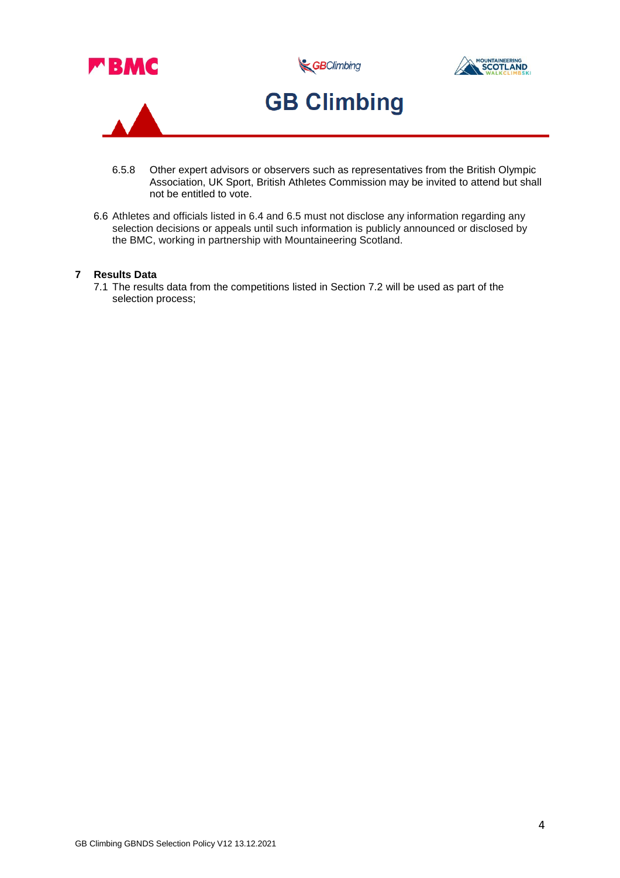

- 6.5.8 Other expert advisors or observers such as representatives from the British Olympic Association, UK Sport, British Athletes Commission may be invited to attend but shall not be entitled to vote.
- 6.6 Athletes and officials listed in 6.4 and 6.5 must not disclose any information regarding any selection decisions or appeals until such information is publicly announced or disclosed by the BMC, working in partnership with Mountaineering Scotland.

### **7 Results Data**

7.1 The results data from the competitions listed in Section 7.2 will be used as part of the selection process;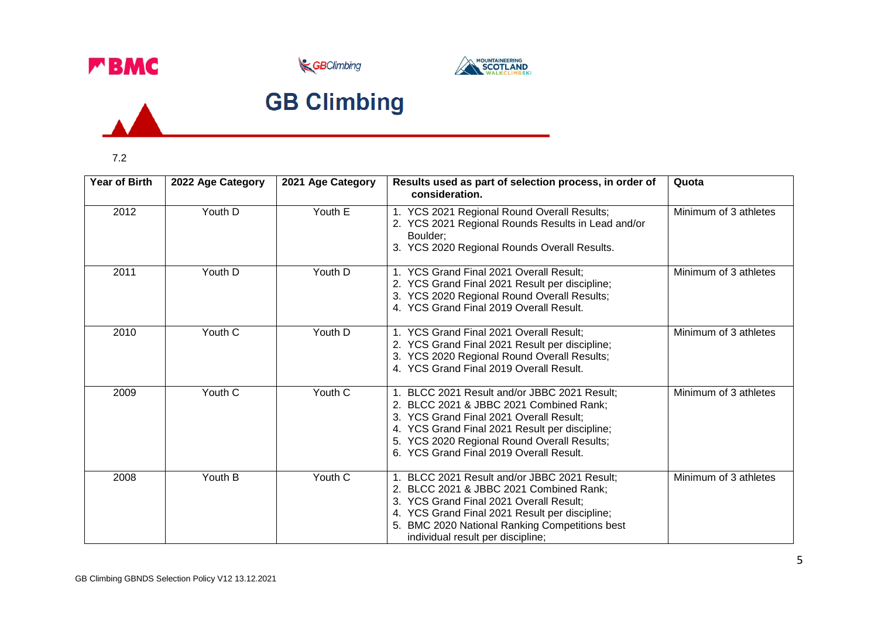





# **GB Climbing**

7.2

 $\overline{A}$ 

| <b>Year of Birth</b> | 2022 Age Category | 2021 Age Category | Results used as part of selection process, in order of<br>consideration.                                                                                                                                                                                                       | Quota                 |
|----------------------|-------------------|-------------------|--------------------------------------------------------------------------------------------------------------------------------------------------------------------------------------------------------------------------------------------------------------------------------|-----------------------|
| 2012                 | Youth D           | Youth E           | 1. YCS 2021 Regional Round Overall Results;<br>2. YCS 2021 Regional Rounds Results in Lead and/or<br>Boulder;<br>3. YCS 2020 Regional Rounds Overall Results.                                                                                                                  | Minimum of 3 athletes |
| 2011                 | Youth D           | Youth D           | 1. YCS Grand Final 2021 Overall Result:<br>2. YCS Grand Final 2021 Result per discipline;<br>3. YCS 2020 Regional Round Overall Results;<br>4. YCS Grand Final 2019 Overall Result.                                                                                            | Minimum of 3 athletes |
| 2010                 | Youth C           | Youth D           | 1. YCS Grand Final 2021 Overall Result;<br>2. YCS Grand Final 2021 Result per discipline;<br>3. YCS 2020 Regional Round Overall Results;<br>4. YCS Grand Final 2019 Overall Result.                                                                                            | Minimum of 3 athletes |
| 2009                 | Youth C           | Youth C           | 1. BLCC 2021 Result and/or JBBC 2021 Result;<br>2. BLCC 2021 & JBBC 2021 Combined Rank;<br>3. YCS Grand Final 2021 Overall Result;<br>4. YCS Grand Final 2021 Result per discipline;<br>5. YCS 2020 Regional Round Overall Results;<br>6. YCS Grand Final 2019 Overall Result. | Minimum of 3 athletes |
| 2008                 | Youth B           | Youth C           | 1. BLCC 2021 Result and/or JBBC 2021 Result;<br>2. BLCC 2021 & JBBC 2021 Combined Rank;<br>3. YCS Grand Final 2021 Overall Result;<br>4. YCS Grand Final 2021 Result per discipline;<br>5. BMC 2020 National Ranking Competitions best<br>individual result per discipline;    | Minimum of 3 athletes |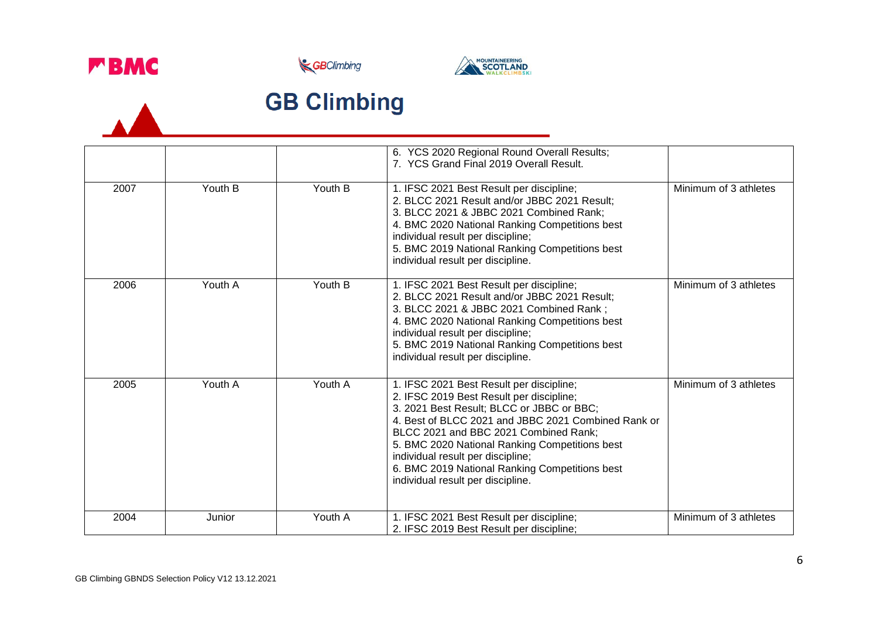

 $\overline{\phantom{a}}$ 





# **GB Climbing**

|      |         |         | 6. YCS 2020 Regional Round Overall Results;<br>7. YCS Grand Final 2019 Overall Result.                                                                                                                                                                                                                                                                                                                          |                       |
|------|---------|---------|-----------------------------------------------------------------------------------------------------------------------------------------------------------------------------------------------------------------------------------------------------------------------------------------------------------------------------------------------------------------------------------------------------------------|-----------------------|
| 2007 | Youth B | Youth B | 1. IFSC 2021 Best Result per discipline;<br>2. BLCC 2021 Result and/or JBBC 2021 Result;<br>3. BLCC 2021 & JBBC 2021 Combined Rank;<br>4. BMC 2020 National Ranking Competitions best<br>individual result per discipline;<br>5. BMC 2019 National Ranking Competitions best<br>individual result per discipline.                                                                                               | Minimum of 3 athletes |
| 2006 | Youth A | Youth B | 1. IFSC 2021 Best Result per discipline;<br>2. BLCC 2021 Result and/or JBBC 2021 Result;<br>3. BLCC 2021 & JBBC 2021 Combined Rank;<br>4. BMC 2020 National Ranking Competitions best<br>individual result per discipline;<br>5. BMC 2019 National Ranking Competitions best<br>individual result per discipline.                                                                                               | Minimum of 3 athletes |
| 2005 | Youth A | Youth A | 1. IFSC 2021 Best Result per discipline;<br>2. IFSC 2019 Best Result per discipline;<br>3. 2021 Best Result; BLCC or JBBC or BBC;<br>4. Best of BLCC 2021 and JBBC 2021 Combined Rank or<br>BLCC 2021 and BBC 2021 Combined Rank;<br>5. BMC 2020 National Ranking Competitions best<br>individual result per discipline;<br>6. BMC 2019 National Ranking Competitions best<br>individual result per discipline. | Minimum of 3 athletes |
| 2004 | Junior  | Youth A | 1. IFSC 2021 Best Result per discipline;<br>2. IFSC 2019 Best Result per discipline;                                                                                                                                                                                                                                                                                                                            | Minimum of 3 athletes |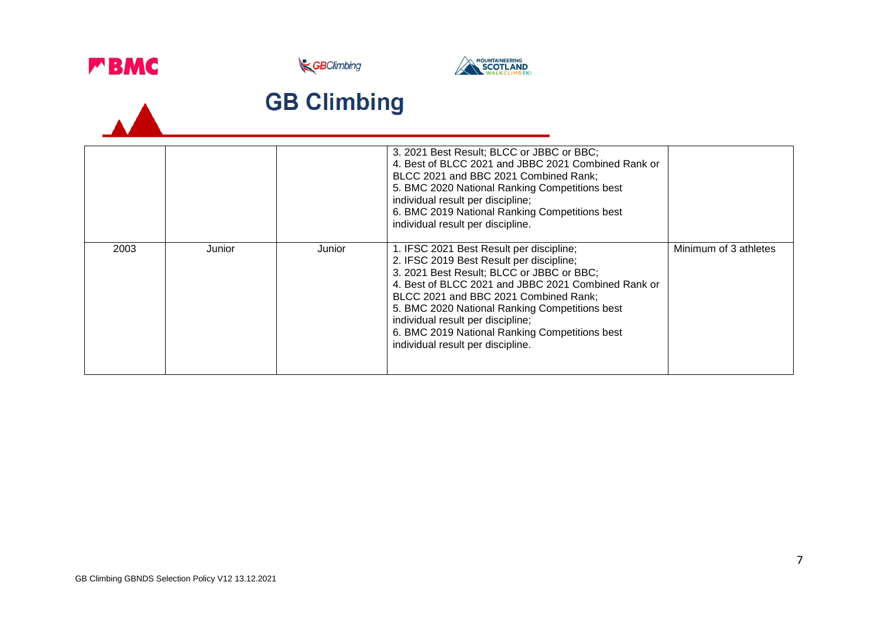

 $\overline{\phantom{a}}$ 





# **GB Climbing**

|      |        |        | 3. 2021 Best Result; BLCC or JBBC or BBC;<br>4. Best of BLCC 2021 and JBBC 2021 Combined Rank or<br>BLCC 2021 and BBC 2021 Combined Rank;<br>5. BMC 2020 National Ranking Competitions best<br>individual result per discipline;<br>6. BMC 2019 National Ranking Competitions best<br>individual result per discipline.                                                                                         |                       |
|------|--------|--------|-----------------------------------------------------------------------------------------------------------------------------------------------------------------------------------------------------------------------------------------------------------------------------------------------------------------------------------------------------------------------------------------------------------------|-----------------------|
| 2003 | Junior | Junior | 1. IFSC 2021 Best Result per discipline;<br>2. IFSC 2019 Best Result per discipline;<br>3. 2021 Best Result; BLCC or JBBC or BBC;<br>4. Best of BLCC 2021 and JBBC 2021 Combined Rank or<br>BLCC 2021 and BBC 2021 Combined Rank;<br>5. BMC 2020 National Ranking Competitions best<br>individual result per discipline;<br>6. BMC 2019 National Ranking Competitions best<br>individual result per discipline. | Minimum of 3 athletes |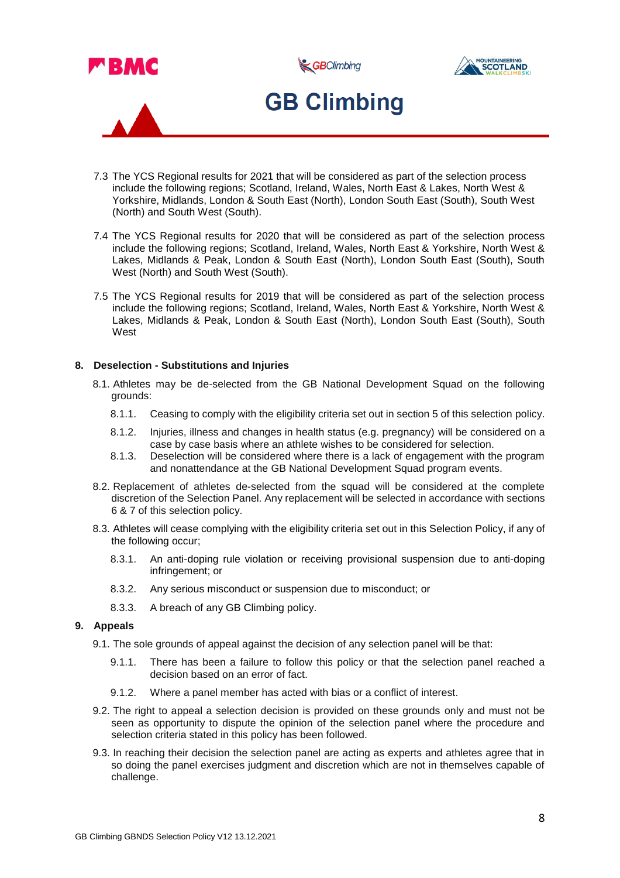

- 7.3 The YCS Regional results for 2021 that will be considered as part of the selection process include the following regions; Scotland, Ireland, Wales, North East & Lakes, North West & Yorkshire, Midlands, London & South East (North), London South East (South), South West (North) and South West (South).
- 7.4 The YCS Regional results for 2020 that will be considered as part of the selection process include the following regions; Scotland, Ireland, Wales, North East & Yorkshire, North West & Lakes, Midlands & Peak, London & South East (North), London South East (South), South West (North) and South West (South).
- 7.5 The YCS Regional results for 2019 that will be considered as part of the selection process include the following regions; Scotland, Ireland, Wales, North East & Yorkshire, North West & Lakes, Midlands & Peak, London & South East (North), London South East (South), South West

### **8. Deselection - Substitutions and Injuries**

- 8.1. Athletes may be de-selected from the GB National Development Squad on the following grounds:
	- 8.1.1. Ceasing to comply with the eligibility criteria set out in section 5 of this selection policy.
	- 8.1.2. Injuries, illness and changes in health status (e.g. pregnancy) will be considered on a case by case basis where an athlete wishes to be considered for selection.
	- 8.1.3. Deselection will be considered where there is a lack of engagement with the program and nonattendance at the GB National Development Squad program events.
- 8.2. Replacement of athletes de-selected from the squad will be considered at the complete discretion of the Selection Panel. Any replacement will be selected in accordance with sections 6 & 7 of this selection policy.
- 8.3. Athletes will cease complying with the eligibility criteria set out in this Selection Policy, if any of the following occur;
	- 8.3.1. An anti-doping rule violation or receiving provisional suspension due to anti-doping infringement; or
	- 8.3.2. Any serious misconduct or suspension due to misconduct; or
	- 8.3.3. A breach of any GB Climbing policy.

### **9. Appeals**

- 9.1. The sole grounds of appeal against the decision of any selection panel will be that:
	- 9.1.1. There has been a failure to follow this policy or that the selection panel reached a decision based on an error of fact.
	- 9.1.2. Where a panel member has acted with bias or a conflict of interest.
- 9.2. The right to appeal a selection decision is provided on these grounds only and must not be seen as opportunity to dispute the opinion of the selection panel where the procedure and selection criteria stated in this policy has been followed.
- 9.3. In reaching their decision the selection panel are acting as experts and athletes agree that in so doing the panel exercises judgment and discretion which are not in themselves capable of challenge.